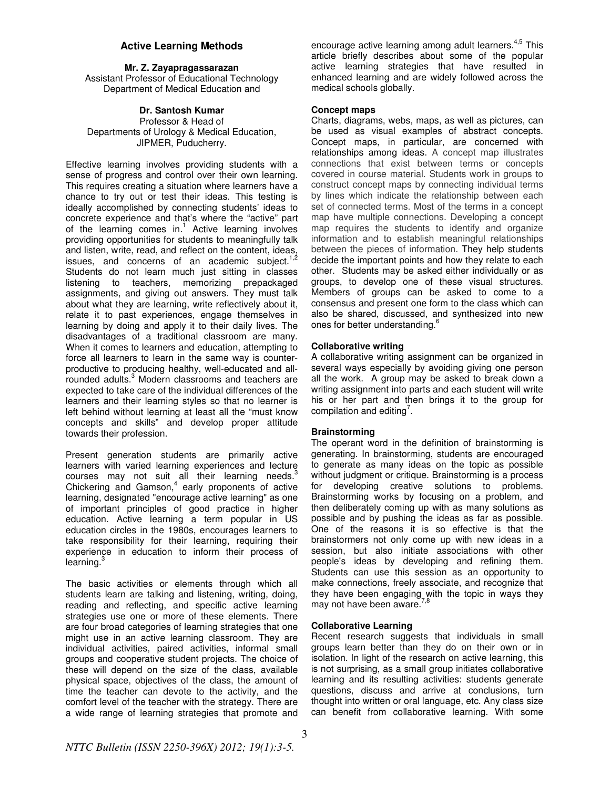# **Active Learning Methods**

#### **Mr. Z. Zayapragassarazan**  Assistant Professor of Educational Technology Department of Medical Education and

# **Dr. Santosh Kumar**

Professor & Head of Departments of Urology & Medical Education, JIPMER, Puducherry.

Effective learning involves providing students with a sense of progress and control over their own learning. This requires creating a situation where learners have a chance to try out or test their ideas. This testing is ideally accomplished by connecting students' ideas to concrete experience and that's where the "active" part of the learning comes in.<sup>1</sup> Active learning involves providing opportunities for students to meaningfully talk and listen, write, read, and reflect on the content, ideas, issues, and concerns of an academic subject. $1,2$ Students do not learn much just sitting in classes listening to teachers, memorizing prepackaged assignments, and giving out answers. They must talk about what they are learning, write reflectively about it, relate it to past experiences, engage themselves in learning by doing and apply it to their daily lives. The disadvantages of a traditional classroom are many. When it comes to learners and education, attempting to force all learners to learn in the same way is counterproductive to producing healthy, well-educated and allrounded adults.<sup>3</sup> Modern classrooms and teachers are expected to take care of the individual differences of the learners and their learning styles so that no learner is left behind without learning at least all the "must know concepts and skills" and develop proper attitude towards their profession.

Present generation students are primarily active learners with varied learning experiences and lecture courses may not suit all their learning needs.<sup>3</sup> Chickering and Gamson, $4$  early proponents of active learning, designated "encourage active learning" as one of important principles of good practice in higher education. Active learning a term popular in US education circles in the 1980s, encourages learners to take responsibility for their learning, requiring their experience in education to inform their process of  $learning<sup>3</sup>$ 

The basic activities or elements through which all students learn are talking and listening, writing, doing, reading and reflecting, and specific active learning strategies use one or more of these elements. There are four broad categories of learning strategies that one might use in an active learning classroom. They are individual activities, paired activities, informal small groups and cooperative student projects. The choice of these will depend on the size of the class, available physical space, objectives of the class, the amount of time the teacher can devote to the activity, and the comfort level of the teacher with the strategy. There are a wide range of learning strategies that promote and

encourage active learning among adult learners.<sup>4,5</sup> This article briefly describes about some of the popular active learning strategies that have resulted in enhanced learning and are widely followed across the medical schools globally.

### **Concept maps**

Charts, diagrams, webs, maps, as well as pictures, can be used as visual examples of abstract concepts. Concept maps, in particular, are concerned with relationships among ideas. A concept map illustrates connections that exist between terms or concepts covered in course material. Students work in groups to construct concept maps by connecting individual terms by lines which indicate the relationship between each set of connected terms. Most of the terms in a concept map have multiple connections. Developing a concept map requires the students to identify and organize information and to establish meaningful relationships between the pieces of information. They help students decide the important points and how they relate to each other. Students may be asked either individually or as groups, to develop one of these visual structures. Members of groups can be asked to come to a consensus and present one form to the class which can also be shared, discussed, and synthesized into new ones for better understanding.<sup>6</sup>

### **Collaborative writing**

A collaborative writing assignment can be organized in several ways especially by avoiding giving one person all the work. A group may be asked to break down a writing assignment into parts and each student will write his or her part and then brings it to the group for compilation and editing<sup>7</sup>.

#### **Brainstorming**

The operant word in the definition of brainstorming is generating. In brainstorming, students are encouraged to generate as many ideas on the topic as possible without judgment or critique. Brainstorming is a process for developing creative solutions to problems. Brainstorming works by focusing on a problem, and then deliberately coming up with as many solutions as possible and by pushing the ideas as far as possible. One of the reasons it is so effective is that the brainstormers not only come up with new ideas in a session, but also initiate associations with other people's ideas by developing and refining them. Students can use this session as an opportunity to make connections, freely associate, and recognize that they have been engaging with the topic in ways they may not have been aware.

#### **Collaborative Learning**

Recent research suggests that individuals in small groups learn better than they do on their own or in isolation. In light of the research on active learning, this is not surprising, as a small group initiates collaborative learning and its resulting activities: students generate questions, discuss and arrive at conclusions, turn thought into written or oral language, etc. Any class size can benefit from collaborative learning. With some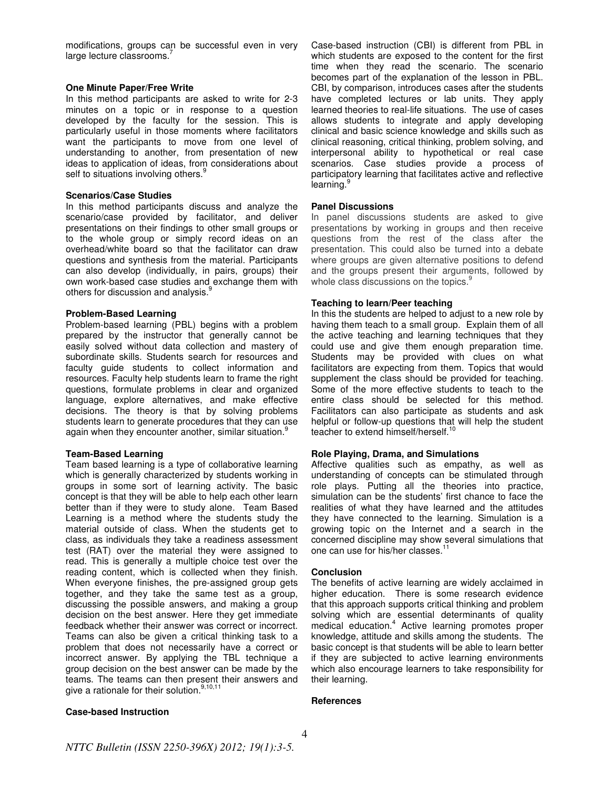modifications, groups can be successful even in very large lecture classrooms.

# **One Minute Paper/Free Write**

In this method participants are asked to write for 2-3 minutes on a topic or in response to a question developed by the faculty for the session. This is particularly useful in those moments where facilitators want the participants to move from one level of understanding to another, from presentation of new ideas to application of ideas, from considerations about self to situations involving others.<sup>9</sup>

# **Scenarios/Case Studies**

In this method participants discuss and analyze the scenario/case provided by facilitator, and deliver presentations on their findings to other small groups or to the whole group or simply record ideas on an overhead/white board so that the facilitator can draw questions and synthesis from the material. Participants can also develop (individually, in pairs, groups) their own work-based case studies and exchange them with others for discussion and analysis.<sup>9</sup>

# **Problem-Based Learning**

Problem-based learning (PBL) begins with a problem prepared by the instructor that generally cannot be easily solved without data collection and mastery of subordinate skills. Students search for resources and faculty guide students to collect information and resources. Faculty help students learn to frame the right questions, formulate problems in clear and organized language, explore alternatives, and make effective decisions. The theory is that by solving problems students learn to generate procedures that they can use again when they encounter another, similar situation.<sup>9</sup>

# **Team-Based Learning**

Team based learning is a type of collaborative learning which is generally characterized by students working in groups in some sort of learning activity. The basic concept is that they will be able to help each other learn better than if they were to study alone. Team Based Learning is a method where the students study the material outside of class. When the students get to class, as individuals they take a readiness assessment test (RAT) over the material they were assigned to read. This is generally a multiple choice test over the reading content, which is collected when they finish. When everyone finishes, the pre-assigned group gets together, and they take the same test as a group. discussing the possible answers, and making a group decision on the best answer. Here they get immediate feedback whether their answer was correct or incorrect. Teams can also be given a critical thinking task to a problem that does not necessarily have a correct or incorrect answer. By applying the TBL technique a group decision on the best answer can be made by the teams. The teams can then present their answers and give a rationale for their solution.<sup>9,10,11</sup>

# **Case-based Instruction**

Case-based instruction (CBI) is different from PBL in which students are exposed to the content for the first time when they read the scenario. The scenario becomes part of the explanation of the lesson in PBL. CBI, by comparison, introduces cases after the students have completed lectures or lab units. They apply learned theories to real-life situations. The use of cases allows students to integrate and apply developing clinical and basic science knowledge and skills such as clinical reasoning, critical thinking, problem solving, and interpersonal ability to hypothetical or real case scenarios. Case studies provide a process of participatory learning that facilitates active and reflective  $learning<sub>o</sub>$ 

#### **Panel Discussions**

In panel discussions students are asked to give presentations by working in groups and then receive questions from the rest of the class after the presentation. This could also be turned into a debate where groups are given alternative positions to defend and the groups present their arguments, followed by whole class discussions on the topics.<sup>9</sup>

### **Teaching to learn/Peer teaching**

In this the students are helped to adjust to a new role by having them teach to a small group. Explain them of all the active teaching and learning techniques that they could use and give them enough preparation time. Students may be provided with clues on what facilitators are expecting from them. Topics that would supplement the class should be provided for teaching. Some of the more effective students to teach to the entire class should be selected for this method. Facilitators can also participate as students and ask helpful or follow-up questions that will help the student teacher to extend himself/herself.<sup>10</sup>

# **Role Playing, Drama, and Simulations**

Affective qualities such as empathy, as well as understanding of concepts can be stimulated through role plays. Putting all the theories into practice, simulation can be the students' first chance to face the realities of what they have learned and the attitudes they have connected to the learning. Simulation is a growing topic on the Internet and a search in the concerned discipline may show several simulations that one can use for his/her classes.<sup>11</sup>

# **Conclusion**

The benefits of active learning are widely acclaimed in higher education. There is some research evidence that this approach supports critical thinking and problem solving which are essential determinants of quality medical education.<sup>4</sup> Active learning promotes proper knowledge, attitude and skills among the students. The basic concept is that students will be able to learn better if they are subjected to active learning environments which also encourage learners to take responsibility for their learning.

#### **References**